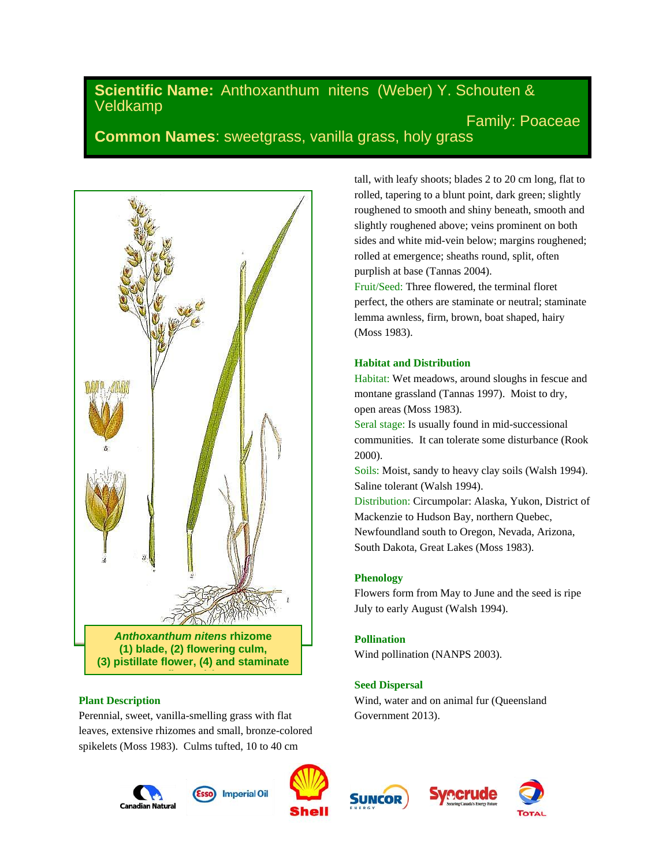# **Scientific Name:** Anthoxanthum nitens (Weber) Y. Schouten & Veldkamp Family: Poaceae

**Common Names**: sweetgrass, vanilla grass, holy grass



### **Plant Description**

Perennial, sweet, vanilla-smelling grass with flat leaves, extensive rhizomes and small, bronze-colored spikelets (Moss 1983). Culms tufted, 10 to 40 cm











tall, with leafy shoots; blades 2 to 20 cm long, flat to rolled, tapering to a blunt point, dark green; slightly roughened to smooth and shiny beneath, smooth and slightly roughened above; veins prominent on both sides and white mid-vein below; margins roughened; rolled at emergence; sheaths round, split, often purplish at base (Tannas 2004).

Fruit/Seed: Three flowered, the terminal floret perfect, the others are staminate or neutral; staminate lemma awnless, firm, brown, boat shaped, hairy (Moss 1983).

# **Habitat and Distribution**

Habitat: Wet meadows, around sloughs in fescue and montane grassland (Tannas 1997). Moist to dry, open areas (Moss 1983).

Seral stage: Is usually found in mid-successional communities. It can tolerate some disturbance (Rook 2000).

Soils: Moist, sandy to heavy clay soils (Walsh 1994). Saline tolerant (Walsh 1994).

Distribution: Circumpolar: Alaska, Yukon, District of Mackenzie to Hudson Bay, northern Quebec, Newfoundland south to Oregon, Nevada, Arizona, South Dakota, Great Lakes (Moss 1983).

### **Phenology**

Flowers form from May to June and the seed is ripe July to early August (Walsh 1994).

### **Pollination**

Wind pollination (NANPS 2003).

# **Seed Dispersal**

Wind, water and on animal fur (Queensland Government 2013).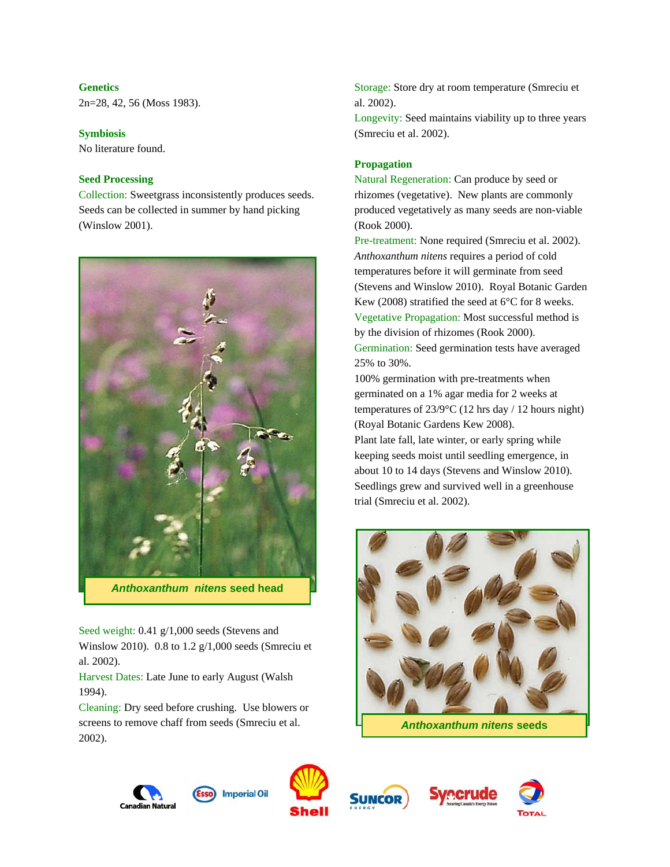# **Genetics**

2n=28, 42, 56 (Moss 1983).

### **Symbiosis**

No literature found.

# **Seed Processing**

Collection: Sweetgrass inconsistently produces seeds. Seeds can be collected in summer by hand picking (Winslow 2001).



Seed weight: 0.41 g/1,000 seeds (Stevens and Winslow 2010). 0.8 to 1.2 g/1,000 seeds (Smreciu et al. 2002).

Harvest Dates: Late June to early August (Walsh 1994).

Cleaning: Dry seed before crushing. Use blowers or screens to remove chaff from seeds (Smreciu et al. 2002).

Storage: Store dry at room temperature (Smreciu et al. 2002).

Longevity: Seed maintains viability up to three years (Smreciu et al. 2002).

# **Propagation**

Natural Regeneration: Can produce by seed or rhizomes (vegetative). New plants are commonly produced vegetatively as many seeds are non-viable (Rook 2000).

Pre-treatment: None required (Smreciu et al. 2002). *Anthoxanthum nitens* requires a period of cold temperatures before it will germinate from seed (Stevens and Winslow 2010). Royal Botanic Garden Kew (2008) stratified the seed at 6°C for 8 weeks. Vegetative Propagation: Most successful method is by the division of rhizomes (Rook 2000). Germination: Seed germination tests have averaged 25% to 30%.

100% germination with pre-treatments when germinated on a 1% agar media for 2 weeks at temperatures of 23/9°C (12 hrs day / 12 hours night) (Royal Botanic Gardens Kew 2008). Plant late fall, late winter, or early spring while keeping seeds moist until seedling emergence, in about 10 to 14 days (Stevens and Winslow 2010). Seedlings grew and survived well in a greenhouse trial (Smreciu et al. 2002).



*Anthoxanthum nitens* **seeds**







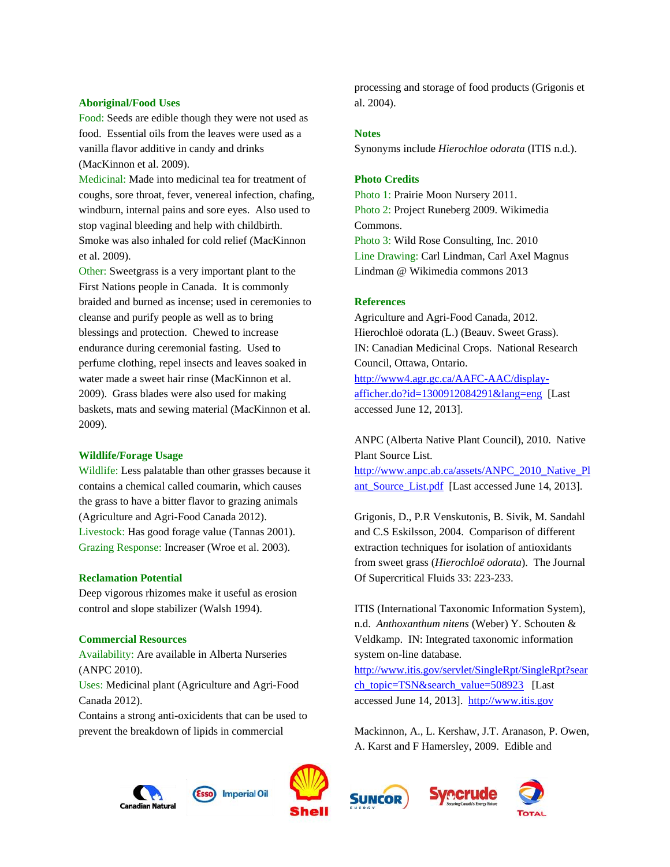#### **Aboriginal/Food Uses**

Food: Seeds are edible though they were not used as food. Essential oils from the leaves were used as a vanilla flavor additive in candy and drinks (MacKinnon et al. 2009).

Medicinal: Made into medicinal tea for treatment of coughs, sore throat, fever, venereal infection, chafing, windburn, internal pains and sore eyes. Also used to stop vaginal bleeding and help with childbirth. Smoke was also inhaled for cold relief (MacKinnon et al. 2009).

Other: Sweetgrass is a very important plant to the First Nations people in Canada. It is commonly braided and burned as incense; used in ceremonies to cleanse and purify people as well as to bring blessings and protection. Chewed to increase endurance during ceremonial fasting. Used to perfume clothing, repel insects and leaves soaked in water made a sweet hair rinse (MacKinnon et al. 2009). Grass blades were also used for making baskets, mats and sewing material (MacKinnon et al. 2009).

#### **Wildlife/Forage Usage**

Wildlife: Less palatable than other grasses because it contains a chemical called coumarin, which causes the grass to have a bitter flavor to grazing animals (Agriculture and Agri-Food Canada 2012). Livestock: Has good forage value (Tannas 2001). Grazing Response: Increaser (Wroe et al. 2003).

#### **Reclamation Potential**

Deep vigorous rhizomes make it useful as erosion control and slope stabilizer (Walsh 1994).

# **Commercial Resources**

Availability: Are available in Alberta Nurseries (ANPC 2010).

Uses: Medicinal plant (Agriculture and Agri-Food Canada 2012).

Contains a strong anti-oxicidents that can be used to prevent the breakdown of lipids in commercial

processing and storage of food products (Grigonis et al. 2004).

#### **Notes**

Synonyms include *Hierochloe odorata* (ITIS n.d.).

### **Photo Credits**

Photo 1: Prairie Moon Nursery 2011. Photo 2: Project Runeberg 2009. Wikimedia Commons. Photo 3: Wild Rose Consulting, Inc. 2010 Line Drawing: Carl Lindman, Carl Axel Magnus Lindman @ Wikimedia commons 2013

### **References**

Agriculture and Agri-Food Canada, 2012. Hierochloë odorata (L.) (Beauv. Sweet Grass). IN: Canadian Medicinal Crops. National Research Council, Ottawa, Ontario. [http://www4.agr.gc.ca/AAFC-AAC/display](http://www4.agr.gc.ca/AAFC-AAC/display-afficher.do?id=1300912084291&lang=eng)[afficher.do?id=1300912084291&lang=eng](http://www4.agr.gc.ca/AAFC-AAC/display-afficher.do?id=1300912084291&lang=eng) [Last accessed June 12, 2013].

ANPC (Alberta Native Plant Council), 2010. Native Plant Source List.

[http://www.anpc.ab.ca/assets/ANPC\\_2010\\_Native\\_Pl](http://www.anpc.ab.ca/assets/ANPC_2010_Native_Plant_Source_List.pdf) ant Source List.pdf [Last accessed June 14, 2013].

Grigonis, D., P.R Venskutonis, B. Sivik, M. Sandahl and C.S Eskilsson, 2004. Comparison of different extraction techniques for isolation of antioxidants from sweet grass (*Hierochloë odorata*). The Journal Of Supercritical Fluids 33: 223-233.

ITIS (International Taxonomic Information System), n.d. *Anthoxanthum nitens* (Weber) Y. Schouten & Veldkamp. IN: Integrated taxonomic information system on-line database.

[http://www.itis.gov/servlet/SingleRpt/SingleRpt?sear](http://www.itis.gov/servlet/SingleRpt/SingleRpt?search_topic=TSN&search_value=508923) [ch\\_topic=TSN&search\\_value=508923](http://www.itis.gov/servlet/SingleRpt/SingleRpt?search_topic=TSN&search_value=508923) [Last accessed June 14, 2013]. [http://www.itis.gov](http://www.itis.gov/)

Mackinnon, A., L. Kershaw, J.T. Aranason, P. Owen, A. Karst and F Hamersley, 2009. Edible and